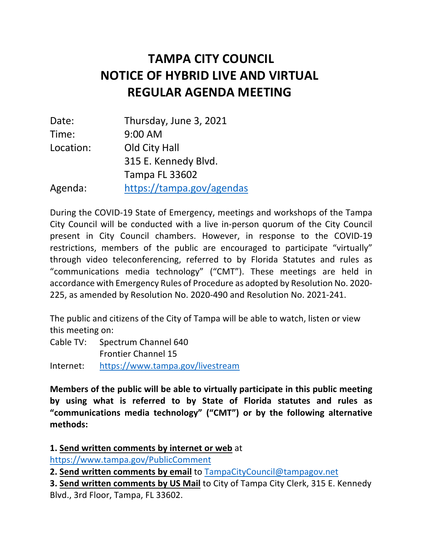# **NOTICE OF HYBRID LIVE AND VIRTUAL REGULAR AGENDA MEETING TAMPA CITY COUNCIL**

| Date:     | Thursday, June 3, 2021    |
|-----------|---------------------------|
| Time:     | 9:00 AM                   |
| Location: | Old City Hall             |
|           | 315 E. Kennedy Blvd.      |
|           | <b>Tampa FL 33602</b>     |
| Agenda:   | https://tampa.gov/agendas |

 During the COVID-19 State of Emergency, meetings and workshops of the Tampa City Council will be conducted with a live in-person quorum of the City Council present in City Council chambers. However, in response to the COVID-19 restrictions, members of the public are encouraged to participate "virtually" through video teleconferencing, referred to by Florida Statutes and rules as "communications media technology" ("CMT"). These meetings are held in accordance with Emergency Rules of Procedure as adopted by Resolution No. 2020- 225, as amended by Resolution No. 2020-490 and Resolution No. 2021-241.

 The public and citizens of the City of Tampa will be able to watch, listen or view this meeting on:

 Cable TV: Spectrum Channel 640 Frontier Channel 15

Internet: https://www.tampa.gov/livestream

 **Members of the public will be able to virtually participate in this public meeting by using what is referred to by State of Florida statutes and rules as "communications media technology" ("CMT") or by the following alternative methods:** 

 https://www.tampa.gov/PublicComment **1. Send written comments by internet or web** at

 **2. Send written comments by email** to TampaCityCouncil@tampagov.net

 **3. Send written comments by US Mail** to City of Tampa City Clerk, 315 E. Kennedy Blvd., 3rd Floor, Tampa, FL 33602.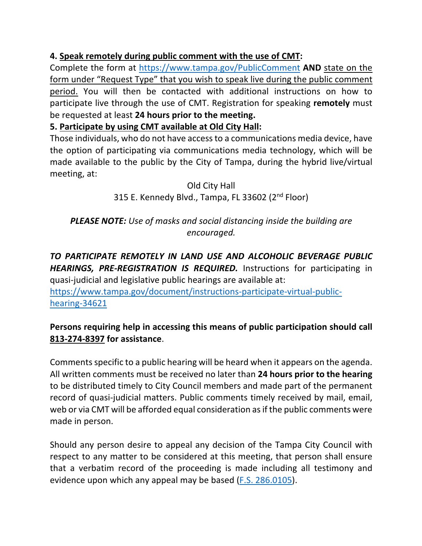## **4. Speak remotely during public comment with the use of CMT:**

 Complete the form at https://www.tampa.gov/PublicComment **AND** state on the form under "Request Type" that you wish to speak live during the public comment participate live through the use of CMT. Registration for speaking **remotely** must  be requested at least **24 hours prior to the meeting.**  period. You will then be contacted with additional instructions on how to

### **5. Participate by using CMT available at Old City Hall:**

 Those individuals, who do not have access to a communications media device, have the option of participating via communications media technology, which will be made available to the public by the City of Tampa, during the hybrid live/virtual meeting, at:

> Old City Hall 315 E. Kennedy Blvd., Tampa, FL 33602 (2<sup>nd</sup> Floor)

## *PLEASE NOTE: Use of masks and social distancing inside the building are encouraged.*

 *TO PARTICIPATE REMOTELY IN LAND USE AND ALCOHOLIC BEVERAGE PUBLIC HEARINGS, PRE-REGISTRATION IS REQUIRED.* Instructions for participating in quasi-judicial and legislative public hearings are available at:

https://www.tampa.gov/document/instructions-participate-virtual-publichearing-34621

#### **Persons requiring help in accessing this means of public participation should call 813-274-8397 for assistance**.

 Comments specific to a public hearing will be heard when it appears on the agenda. All written comments must be received no later than **24 hours prior to the hearing**  to be distributed timely to City Council members and made part of the permanent record of quasi-judicial matters. Public comments timely received by mail, email, web or via CMT will be afforded equal consideration as if the public comments were made in person.

 Should any person desire to appeal any decision of the Tampa City Council with respect to any matter to be considered at this meeting, that person shall ensure that a verbatim record of the proceeding is made including all testimony and evidence upon which any appeal may be based (F.S. 286.0105).